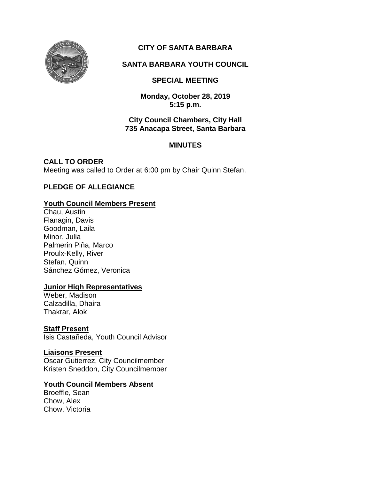

# **CITY OF SANTA BARBARA**

## **SANTA BARBARA YOUTH COUNCIL**

## **SPECIAL MEETING**

**Monday, October 28, 2019 5:15 p.m.**

#### **City Council Chambers, City Hall 735 Anacapa Street, Santa Barbara**

#### **MINUTES**

**CALL TO ORDER** Meeting was called to Order at 6:00 pm by Chair Quinn Stefan.

## **PLEDGE OF ALLEGIANCE**

#### **Youth Council Members Present**

Chau, Austin Flanagin, Davis Goodman, Laila Minor, Julia Palmerin Piña, Marco Proulx-Kelly, River Stefan, Quinn Sánchez Gómez, Veronica

#### **Junior High Representatives**

Weber, Madison Calzadilla, Dhaira Thakrar, Alok

## **Staff Present**

Isis Castañeda, Youth Council Advisor

## **Liaisons Present**

Oscar Gutierrez, City Councilmember Kristen Sneddon, City Councilmember

#### **Youth Council Members Absent**

Broeffle, Sean Chow, Alex Chow, Victoria